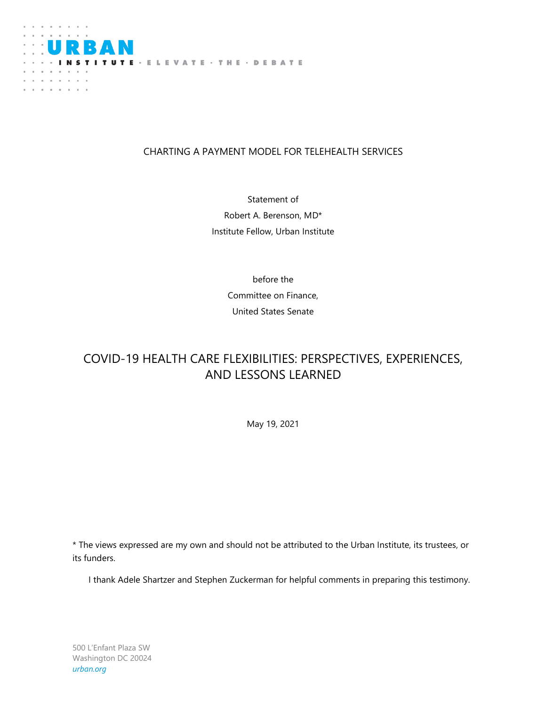

# CHARTING A PAYMENT MODEL FOR TELEHEALTH SERVICES

Statement of Robert A. Berenson, MD\* Institute Fellow, Urban Institute

> before the Committee on Finance, United States Senate

# COVID-19 HEALTH CARE FLEXIBILITIES: PERSPECTIVES, EXPERIENCES, AND LESSONS LEARNED

May 19, 2021

\* The views expressed are my own and should not be attributed to the Urban Institute, its trustees, or its funders.

I thank Adele Shartzer and Stephen Zuckerman for helpful comments in preparing this testimony.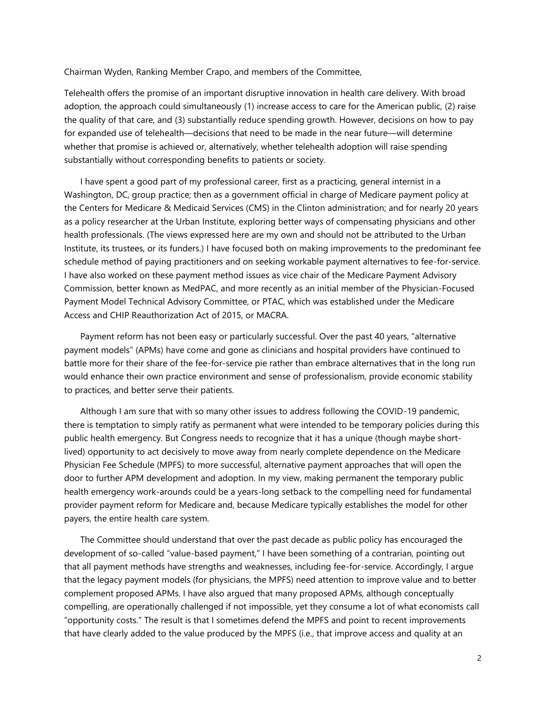Chairman Wyden, Ranking Member Crapo, and members of the Committee,

Telehealth offers the promise of an important disruptive innovation in health care delivery. With broad adoption, the approach could simultaneously (1) increase access to care for the American public, (2) raise the quality of that care, and (3) substantially reduce spending growth. However, decisions on how to pay for expanded use of telehealth—decisions that need to be made in the near future—will determine whether that promise is achieved or, alternatively, whether telehealth adoption will raise spending substantially without corresponding benefits to patients or society.

I have spent a good part of my professional career, first as a practicing, general internist in a Washington, DC, group practice; then as a government official in charge of Medicare payment policy at the Centers for Medicare & Medicaid Services (CMS) in the Clinton administration; and for nearly 20 years as a policy researcher at the Urban Institute, exploring better ways of compensating physicians and other health professionals. (The views expressed here are my own and should not be attributed to the Urban Institute, its trustees, or its funders.) I have focused both on making improvements to the predominant fee schedule method of paying practitioners and on seeking workable payment alternatives to fee-for-service. I have also worked on these payment method issues as vice chair of the Medicare Payment Advisory Commission, better known as MedPAC, and more recently as an initial member of the Physician-Focused Payment Model Technical Advisory Committee, or PTAC, which was established under the Medicare Access and CHIP Reauthorization Act of 2015, or MACRA.

Payment reform has not been easy or particularly successful. Over the past 40 years, "alternative payment models" (APMs) have come and gone as clinicians and hospital providers have continued to battle more for their share of the fee-for-service pie rather than embrace alternatives that in the long run would enhance their own practice environment and sense of professionalism, provide economic stability to practices, and better serve their patients.

Although I am sure that with so many other issues to address following the COVID-19 pandemic, there is temptation to simply ratify as permanent what were intended to be temporary policies during this public health emergency. But Congress needs to recognize that it has a unique (though maybe shortlived) opportunity to act decisively to move away from nearly complete dependence on the Medicare Physician Fee Schedule (MPFS) to more successful, alternative payment approaches that will open the door to further APM development and adoption. In my view, making permanent the temporary public health emergency work-arounds could be a years-long setback to the compelling need for fundamental provider payment reform for Medicare and, because Medicare typically establishes the model for other payers, the entire health care system.

The Committee should understand that over the past decade as public policy has encouraged the development of so-called "value-based payment," I have been something of a contrarian, pointing out that all payment methods have strengths and weaknesses, including fee-for-service. Accordingly, I argue that the legacy payment models (for physicians, the MPFS) need attention to improve value and to better complement proposed APMs. I have also argued that many proposed APMs, although conceptually compelling, are operationally challenged if not impossible, yet they consume a lot of what economists call "opportunity costs." The result is that I sometimes defend the MPFS and point to recent improvements that have clearly added to the value produced by the MPFS (i.e., that improve access and quality at an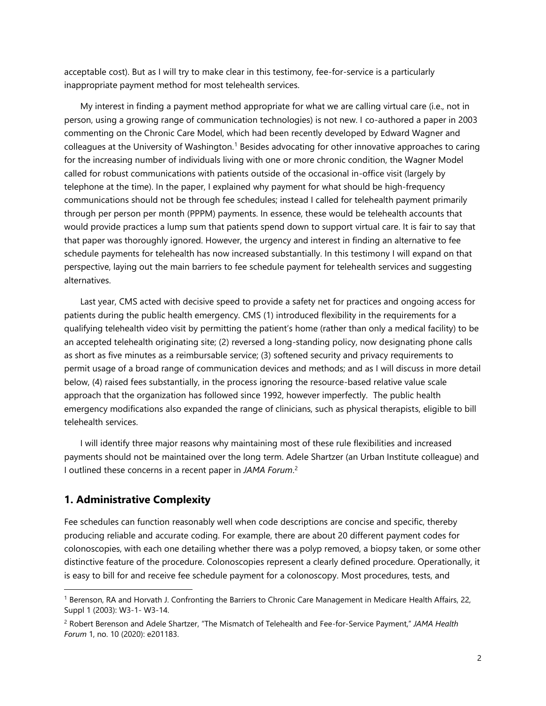acceptable cost). But as I will try to make clear in this testimony, fee-for-service is a particularly inappropriate payment method for most telehealth services.

My interest in finding a payment method appropriate for what we are calling virtual care (i.e., not in person, using a growing range of communication technologies) is not new. I co-authored a paper in 2003 commenting on the Chronic Care Model, which had been recently developed by Edward Wagner and colleagues at the University of Washington.<sup>1</sup> Besides advocating for other innovative approaches to caring for the increasing number of individuals living with one or more chronic condition, the Wagner Model called for robust communications with patients outside of the occasional in-office visit (largely by telephone at the time). In the paper, I explained why payment for what should be high-frequency communications should not be through fee schedules; instead I called for telehealth payment primarily through per person per month (PPPM) payments. In essence, these would be telehealth accounts that would provide practices a lump sum that patients spend down to support virtual care. It is fair to say that that paper was thoroughly ignored. However, the urgency and interest in finding an alternative to fee schedule payments for telehealth has now increased substantially. In this testimony I will expand on that perspective, laying out the main barriers to fee schedule payment for telehealth services and suggesting alternatives.

Last year, CMS acted with decisive speed to provide a safety net for practices and ongoing access for patients during the public health emergency. CMS (1) introduced flexibility in the requirements for a qualifying telehealth video visit by permitting the patient's home (rather than only a medical facility) to be an accepted telehealth originating site; (2) reversed a long-standing policy, now designating phone calls as short as five minutes as a reimbursable service; (3) softened security and privacy requirements to permit usage of a broad range of communication devices and methods; and as I will discuss in more detail below, (4) raised fees substantially, in the process ignoring the resource-based relative value scale approach that the organization has followed since 1992, however imperfectly. The public health emergency modifications also expanded the range of clinicians, such as physical therapists, eligible to bill telehealth services.

I will identify three major reasons why maintaining most of these rule flexibilities and increased payments should not be maintained over the long term. Adele Shartzer (an Urban Institute colleague) and I outlined these concerns in a recent paper in *JAMA Forum*. 2

# **1. Administrative Complexity**

l

Fee schedules can function reasonably well when code descriptions are concise and specific, thereby producing reliable and accurate coding. For example, there are about 20 different payment codes for colonoscopies, with each one detailing whether there was a polyp removed, a biopsy taken, or some other distinctive feature of the procedure. Colonoscopies represent a clearly defined procedure. Operationally, it is easy to bill for and receive fee schedule payment for a colonoscopy. Most procedures, tests, and

<sup>1</sup> Berenson, RA and Horvath J. Confronting the Barriers to Chronic Care Management in Medicare Health Affairs, 22, Suppl 1 (2003): W3-1- W3-14.

<sup>2</sup> Robert Berenson and Adele Shartzer, "The Mismatch of Telehealth and Fee-for-Service Payment," *JAMA Health Forum* 1, no. 10 (2020): e201183.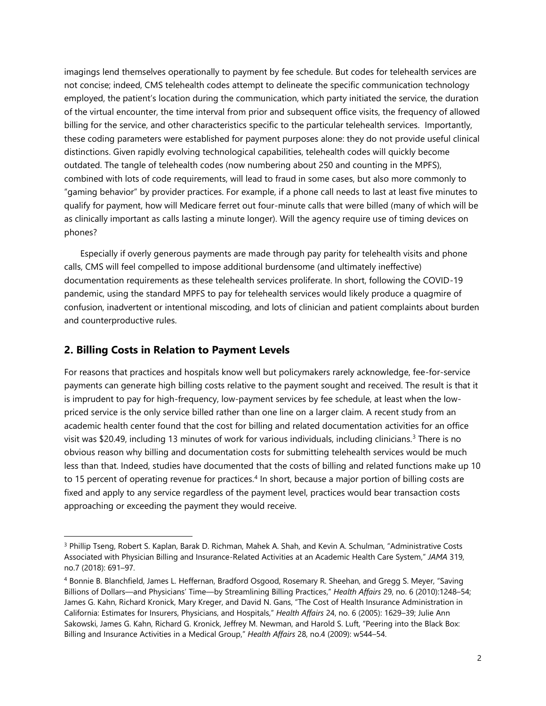imagings lend themselves operationally to payment by fee schedule. But codes for telehealth services are not concise; indeed, CMS telehealth codes attempt to delineate the specific communication technology employed, the patient's location during the communication, which party initiated the service, the duration of the virtual encounter, the time interval from prior and subsequent office visits, the frequency of allowed billing for the service, and other characteristics specific to the particular telehealth services. Importantly, these coding parameters were established for payment purposes alone: they do not provide useful clinical distinctions. Given rapidly evolving technological capabilities, telehealth codes will quickly become outdated. The tangle of telehealth codes (now numbering about 250 and counting in the MPFS), combined with lots of code requirements, will lead to fraud in some cases, but also more commonly to "gaming behavior" by provider practices. For example, if a phone call needs to last at least five minutes to qualify for payment, how will Medicare ferret out four-minute calls that were billed (many of which will be as clinically important as calls lasting a minute longer). Will the agency require use of timing devices on phones?

Especially if overly generous payments are made through pay parity for telehealth visits and phone calls, CMS will feel compelled to impose additional burdensome (and ultimately ineffective) documentation requirements as these telehealth services proliferate. In short, following the COVID-19 pandemic, using the standard MPFS to pay for telehealth services would likely produce a quagmire of confusion, inadvertent or intentional miscoding, and lots of clinician and patient complaints about burden and counterproductive rules.

#### **2. Billing Costs in Relation to Payment Levels**

l

For reasons that practices and hospitals know well but policymakers rarely acknowledge, fee-for-service payments can generate high billing costs relative to the payment sought and received. The result is that it is imprudent to pay for high-frequency, low-payment services by fee schedule, at least when the lowpriced service is the only service billed rather than one line on a larger claim. A recent study from an academic health center found that the cost for billing and related documentation activities for an office visit was \$20.49, including 13 minutes of work for various individuals, including clinicians.<sup>3</sup> There is no obvious reason why billing and documentation costs for submitting telehealth services would be much less than that. Indeed, studies have documented that the costs of billing and related functions make up 10 to 15 percent of operating revenue for practices.<sup>4</sup> In short, because a major portion of billing costs are fixed and apply to any service regardless of the payment level, practices would bear transaction costs approaching or exceeding the payment they would receive.

<sup>3</sup> Phillip Tseng, Robert S. Kaplan, Barak D. Richman, Mahek A. Shah, and Kevin A. Schulman, "Administrative Costs Associated with Physician Billing and Insurance-Related Activities at an Academic Health Care System," *JAMA* 319, no.7 (2018): 691–97.

<sup>4</sup> Bonnie B. Blanchfield, James L. Heffernan, Bradford Osgood, Rosemary R. Sheehan, and Gregg S. Meyer, "Saving Billions of Dollars—and Physicians' Time—by Streamlining Billing Practices," *Health Affairs* 29, no. 6 (2010):1248–54; James G. Kahn, Richard Kronick, Mary Kreger, and David N. Gans, "The Cost of Health Insurance Administration in California: Estimates for Insurers, Physicians, and Hospitals," *Health Affairs* 24, no. 6 (2005): 1629–39; Julie Ann Sakowski, James G. Kahn, Richard G. Kronick, Jeffrey M. Newman, and Harold S. Luft, "Peering into the Black Box: Billing and Insurance Activities in a Medical Group," *Health Affairs* 28, no.4 (2009): w544–54.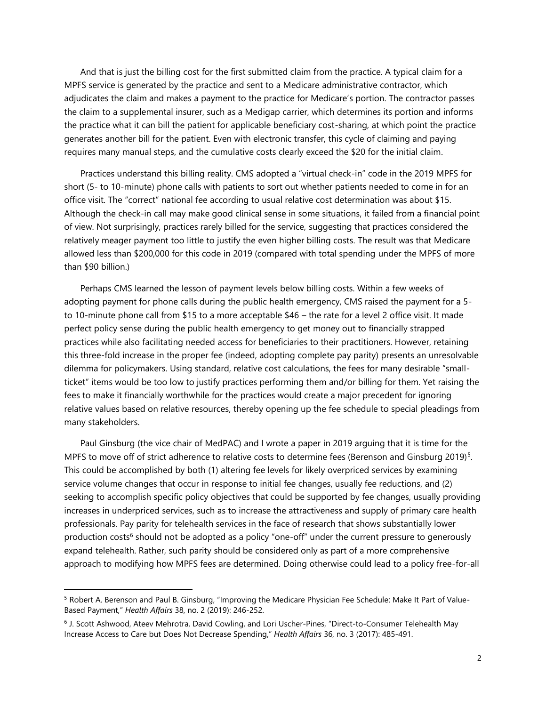And that is just the billing cost for the first submitted claim from the practice. A typical claim for a MPFS service is generated by the practice and sent to a Medicare administrative contractor, which adjudicates the claim and makes a payment to the practice for Medicare's portion. The contractor passes the claim to a supplemental insurer, such as a Medigap carrier, which determines its portion and informs the practice what it can bill the patient for applicable beneficiary cost-sharing, at which point the practice generates another bill for the patient. Even with electronic transfer, this cycle of claiming and paying requires many manual steps, and the cumulative costs clearly exceed the \$20 for the initial claim.

Practices understand this billing reality. CMS adopted a "virtual check-in" code in the 2019 MPFS for short (5- to 10-minute) phone calls with patients to sort out whether patients needed to come in for an office visit. The "correct" national fee according to usual relative cost determination was about \$15. Although the check-in call may make good clinical sense in some situations, it failed from a financial point of view. Not surprisingly, practices rarely billed for the service, suggesting that practices considered the relatively meager payment too little to justify the even higher billing costs. The result was that Medicare allowed less than \$200,000 for this code in 2019 (compared with total spending under the MPFS of more than \$90 billion.)

Perhaps CMS learned the lesson of payment levels below billing costs. Within a few weeks of adopting payment for phone calls during the public health emergency, CMS raised the payment for a 5 to 10-minute phone call from \$15 to a more acceptable \$46 – the rate for a level 2 office visit. It made perfect policy sense during the public health emergency to get money out to financially strapped practices while also facilitating needed access for beneficiaries to their practitioners. However, retaining this three-fold increase in the proper fee (indeed, adopting complete pay parity) presents an unresolvable dilemma for policymakers. Using standard, relative cost calculations, the fees for many desirable "smallticket" items would be too low to justify practices performing them and/or billing for them. Yet raising the fees to make it financially worthwhile for the practices would create a major precedent for ignoring relative values based on relative resources, thereby opening up the fee schedule to special pleadings from many stakeholders.

Paul Ginsburg (the vice chair of MedPAC) and I wrote a paper in 2019 arguing that it is time for the MPFS to move off of strict adherence to relative costs to determine fees (Berenson and Ginsburg 2019)<sup>5</sup>. This could be accomplished by both (1) altering fee levels for likely overpriced services by examining service volume changes that occur in response to initial fee changes, usually fee reductions, and (2) seeking to accomplish specific policy objectives that could be supported by fee changes, usually providing increases in underpriced services, such as to increase the attractiveness and supply of primary care health professionals. Pay parity for telehealth services in the face of research that shows substantially lower production costs<sup>6</sup> should not be adopted as a policy "one-off" under the current pressure to generously expand telehealth. Rather, such parity should be considered only as part of a more comprehensive approach to modifying how MPFS fees are determined. Doing otherwise could lead to a policy free-for-all

l

<sup>5</sup> Robert A. Berenson and Paul B. Ginsburg, "Improving the Medicare Physician Fee Schedule: Make It Part of Value-Based Payment," *Health Affairs* 38, no. 2 (2019): 246-252.

<sup>6</sup> J. Scott Ashwood, Ateev Mehrotra, David Cowling, and Lori Uscher-Pines, "Direct-to-Consumer Telehealth May Increase Access to Care but Does Not Decrease Spending," *Health Affairs* 36, no. 3 (2017): 485-491.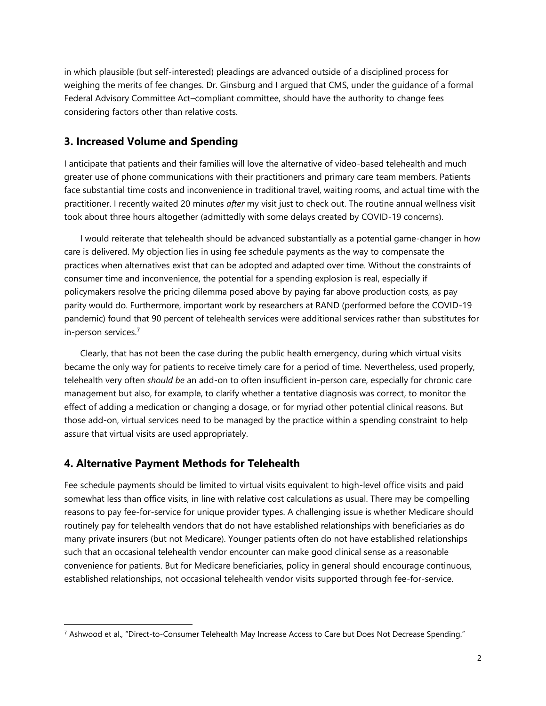in which plausible (but self-interested) pleadings are advanced outside of a disciplined process for weighing the merits of fee changes. Dr. Ginsburg and I argued that CMS, under the guidance of a formal Federal Advisory Committee Act–compliant committee, should have the authority to change fees considering factors other than relative costs.

### **3. Increased Volume and Spending**

I anticipate that patients and their families will love the alternative of video-based telehealth and much greater use of phone communications with their practitioners and primary care team members. Patients face substantial time costs and inconvenience in traditional travel, waiting rooms, and actual time with the practitioner. I recently waited 20 minutes *after* my visit just to check out. The routine annual wellness visit took about three hours altogether (admittedly with some delays created by COVID-19 concerns).

I would reiterate that telehealth should be advanced substantially as a potential game-changer in how care is delivered. My objection lies in using fee schedule payments as the way to compensate the practices when alternatives exist that can be adopted and adapted over time. Without the constraints of consumer time and inconvenience, the potential for a spending explosion is real, especially if policymakers resolve the pricing dilemma posed above by paying far above production costs, as pay parity would do. Furthermore, important work by researchers at RAND (performed before the COVID-19 pandemic) found that 90 percent of telehealth services were additional services rather than substitutes for in-person services. 7

Clearly, that has not been the case during the public health emergency, during which virtual visits became the only way for patients to receive timely care for a period of time. Nevertheless, used properly, telehealth very often *should be* an add-on to often insufficient in-person care, especially for chronic care management but also, for example, to clarify whether a tentative diagnosis was correct, to monitor the effect of adding a medication or changing a dosage, or for myriad other potential clinical reasons. But those add-on, virtual services need to be managed by the practice within a spending constraint to help assure that virtual visits are used appropriately.

#### **4. Alternative Payment Methods for Telehealth**

l

Fee schedule payments should be limited to virtual visits equivalent to high-level office visits and paid somewhat less than office visits, in line with relative cost calculations as usual. There may be compelling reasons to pay fee-for-service for unique provider types. A challenging issue is whether Medicare should routinely pay for telehealth vendors that do not have established relationships with beneficiaries as do many private insurers (but not Medicare). Younger patients often do not have established relationships such that an occasional telehealth vendor encounter can make good clinical sense as a reasonable convenience for patients. But for Medicare beneficiaries, policy in general should encourage continuous, established relationships, not occasional telehealth vendor visits supported through fee-for-service.

<sup>7</sup> Ashwood et al., "Direct-to-Consumer Telehealth May Increase Access to Care but Does Not Decrease Spending."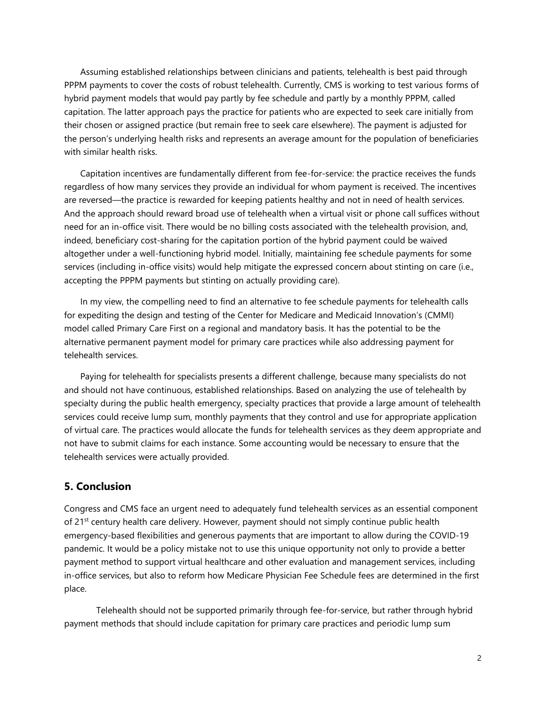Assuming established relationships between clinicians and patients, telehealth is best paid through PPPM payments to cover the costs of robust telehealth. Currently, CMS is working to test various forms of hybrid payment models that would pay partly by fee schedule and partly by a monthly PPPM, called capitation. The latter approach pays the practice for patients who are expected to seek care initially from their chosen or assigned practice (but remain free to seek care elsewhere). The payment is adjusted for the person's underlying health risks and represents an average amount for the population of beneficiaries with similar health risks.

Capitation incentives are fundamentally different from fee-for-service: the practice receives the funds regardless of how many services they provide an individual for whom payment is received. The incentives are reversed—the practice is rewarded for keeping patients healthy and not in need of health services. And the approach should reward broad use of telehealth when a virtual visit or phone call suffices without need for an in-office visit. There would be no billing costs associated with the telehealth provision, and, indeed, beneficiary cost-sharing for the capitation portion of the hybrid payment could be waived altogether under a well-functioning hybrid model. Initially, maintaining fee schedule payments for some services (including in-office visits) would help mitigate the expressed concern about stinting on care (i.e., accepting the PPPM payments but stinting on actually providing care).

In my view, the compelling need to find an alternative to fee schedule payments for telehealth calls for expediting the design and testing of the Center for Medicare and Medicaid Innovation's (CMMI) model called Primary Care First on a regional and mandatory basis. It has the potential to be the alternative permanent payment model for primary care practices while also addressing payment for telehealth services.

Paying for telehealth for specialists presents a different challenge, because many specialists do not and should not have continuous, established relationships. Based on analyzing the use of telehealth by specialty during the public health emergency, specialty practices that provide a large amount of telehealth services could receive lump sum, monthly payments that they control and use for appropriate application of virtual care. The practices would allocate the funds for telehealth services as they deem appropriate and not have to submit claims for each instance. Some accounting would be necessary to ensure that the telehealth services were actually provided.

## **5. Conclusion**

Congress and CMS face an urgent need to adequately fund telehealth services as an essential component of 21<sup>st</sup> century health care delivery. However, payment should not simply continue public health emergency-based flexibilities and generous payments that are important to allow during the COVID-19 pandemic. It would be a policy mistake not to use this unique opportunity not only to provide a better payment method to support virtual healthcare and other evaluation and management services, including in-office services, but also to reform how Medicare Physician Fee Schedule fees are determined in the first place.

Telehealth should not be supported primarily through fee-for-service, but rather through hybrid payment methods that should include capitation for primary care practices and periodic lump sum